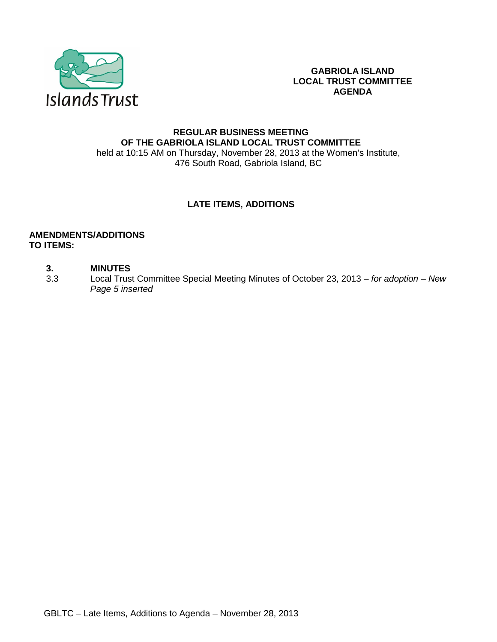

**GABRIOLA ISLAND LOCAL TRUST COMMITTEE AGENDA**

### **REGULAR BUSINESS MEETING OF THE GABRIOLA ISLAND LOCAL TRUST COMMITTEE** held at 10:15 AM on Thursday, November 28, 2013 at the Women's Institute, 476 South Road, Gabriola Island, BC

## **LATE ITEMS, ADDITIONS**

#### **AMENDMENTS/ADDITIONS TO ITEMS:**

#### **3. MINUTES**

3.3 Local Trust Committee Special Meeting Minutes of October 23, 2013 – *for adoption – New Page 5 inserted*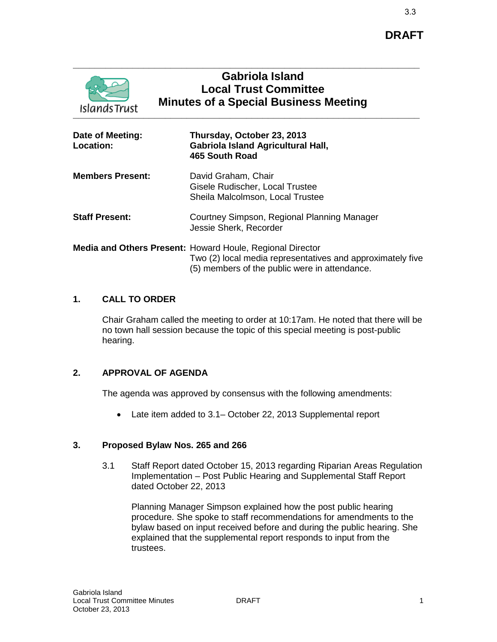

# **Gabriola Island Local Trust Committee Minutes of a Special Business Meeting**

| Date of Meeting:<br><b>Location:</b> | Thursday, October 23, 2013<br><b>Gabriola Island Agricultural Hall,</b><br>465 South Road                                                                                |
|--------------------------------------|--------------------------------------------------------------------------------------------------------------------------------------------------------------------------|
| <b>Members Present:</b>              | David Graham, Chair<br>Gisele Rudischer, Local Trustee<br>Sheila Malcolmson, Local Trustee                                                                               |
| <b>Staff Present:</b>                | Courtney Simpson, Regional Planning Manager<br>Jessie Sherk, Recorder                                                                                                    |
|                                      | Media and Others Present: Howard Houle, Regional Director<br>Two (2) local media representatives and approximately five<br>(5) members of the public were in attendance. |

## **1. CALL TO ORDER**

Chair Graham called the meeting to order at 10:17am. He noted that there will be no town hall session because the topic of this special meeting is post-public hearing.

## **2. APPROVAL OF AGENDA**

The agenda was approved by consensus with the following amendments:

• Late item added to 3.1– October 22, 2013 Supplemental report

## **3. Proposed Bylaw Nos. 265 and 266**

3.1 Staff Report dated October 15, 2013 regarding Riparian Areas Regulation Implementation – Post Public Hearing and Supplemental Staff Report dated October 22, 2013

Planning Manager Simpson explained how the post public hearing procedure. She spoke to staff recommendations for amendments to the bylaw based on input received before and during the public hearing. She explained that the supplemental report responds to input from the trustees.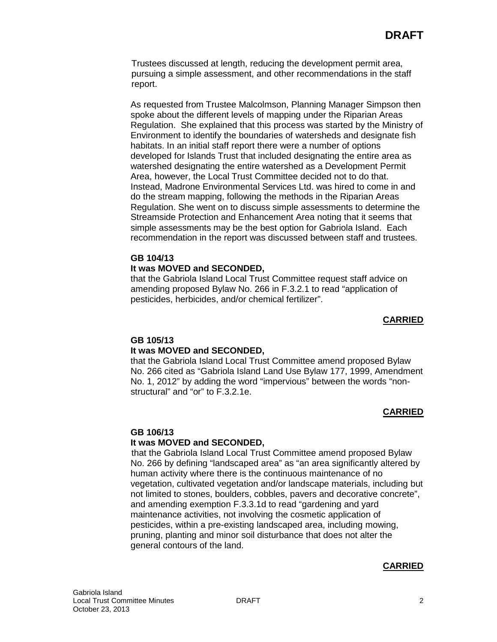Trustees discussed at length, reducing the development permit area, pursuing a simple assessment, and other recommendations in the staff report.

As requested from Trustee Malcolmson, Planning Manager Simpson then spoke about the different levels of mapping under the Riparian Areas Regulation. She explained that this process was started by the Ministry of Environment to identify the boundaries of watersheds and designate fish habitats. In an initial staff report there were a number of options developed for Islands Trust that included designating the entire area as watershed designating the entire watershed as a Development Permit Area, however, the Local Trust Committee decided not to do that. Instead, Madrone Environmental Services Ltd. was hired to come in and do the stream mapping, following the methods in the Riparian Areas Regulation. She went on to discuss simple assessments to determine the Streamside Protection and Enhancement Area noting that it seems that simple assessments may be the best option for Gabriola Island. Each recommendation in the report was discussed between staff and trustees.

#### **GB 104/13 It was MOVED and SECONDED,**

that the Gabriola Island Local Trust Committee request staff advice on amending proposed Bylaw No. 266 in F.3.2.1 to read "application of pesticides, herbicides, and/or chemical fertilizer".

#### **CARRIED**

### **GB 105/13**

### **It was MOVED and SECONDED,**

that the Gabriola Island Local Trust Committee amend proposed Bylaw No. 266 cited as "Gabriola Island Land Use Bylaw 177, 1999, Amendment No. 1, 2012" by adding the word "impervious" between the words "nonstructural" and "or" to F.3.2.1e.

### **CARRIED**

#### **GB 106/13**

#### **It was MOVED and SECONDED,**

that the Gabriola Island Local Trust Committee amend proposed Bylaw No. 266 by defining "landscaped area" as "an area significantly altered by human activity where there is the continuous maintenance of no vegetation, cultivated vegetation and/or landscape materials, including but not limited to stones, boulders, cobbles, pavers and decorative concrete", and amending exemption F.3.3.1d to read "gardening and yard maintenance activities, not involving the cosmetic application of pesticides, within a pre-existing landscaped area, including mowing, pruning, planting and minor soil disturbance that does not alter the general contours of the land.

### **CARRIED**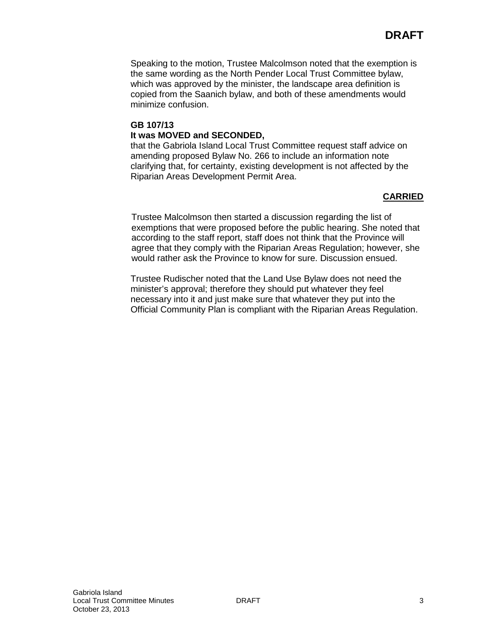Speaking to the motion, Trustee Malcolmson noted that the exemption is the same wording as the North Pender Local Trust Committee bylaw, which was approved by the minister, the landscape area definition is copied from the Saanich bylaw, and both of these amendments would minimize confusion.

## **GB 107/13 It was MOVED and SECONDED,**

that the Gabriola Island Local Trust Committee request staff advice on amending proposed Bylaw No. 266 to include an information note clarifying that, for certainty, existing development is not affected by the Riparian Areas Development Permit Area.

## **CARRIED**

Trustee Malcolmson then started a discussion regarding the list of exemptions that were proposed before the public hearing. She noted that according to the staff report, staff does not think that the Province will agree that they comply with the Riparian Areas Regulation; however, she would rather ask the Province to know for sure. Discussion ensued.

Trustee Rudischer noted that the Land Use Bylaw does not need the minister's approval; therefore they should put whatever they feel necessary into it and just make sure that whatever they put into the Official Community Plan is compliant with the Riparian Areas Regulation.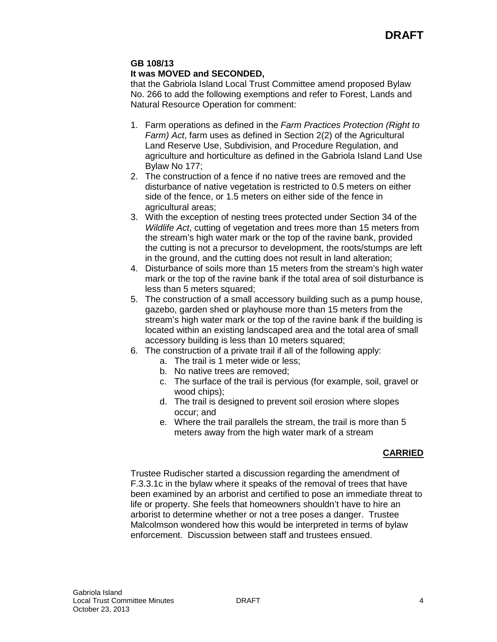## **GB 108/13**

### **It was MOVED and SECONDED,**

that the Gabriola Island Local Trust Committee amend proposed Bylaw No. 266 to add the following exemptions and refer to Forest, Lands and Natural Resource Operation for comment:

- 1. Farm operations as defined in the *Farm Practices Protection (Right to Farm) Act*, farm uses as defined in Section 2(2) of the Agricultural Land Reserve Use, Subdivision, and Procedure Regulation, and agriculture and horticulture as defined in the Gabriola Island Land Use Bylaw No 177;
- 2. The construction of a fence if no native trees are removed and the disturbance of native vegetation is restricted to 0.5 meters on either side of the fence, or 1.5 meters on either side of the fence in agricultural areas;
- 3. With the exception of nesting trees protected under Section 34 of the *Wildlife Act*, cutting of vegetation and trees more than 15 meters from the stream's high water mark or the top of the ravine bank, provided the cutting is not a precursor to development, the roots/stumps are left in the ground, and the cutting does not result in land alteration;
- 4. Disturbance of soils more than 15 meters from the stream's high water mark or the top of the ravine bank if the total area of soil disturbance is less than 5 meters squared;
- 5. The construction of a small accessory building such as a pump house, gazebo, garden shed or playhouse more than 15 meters from the stream's high water mark or the top of the ravine bank if the building is located within an existing landscaped area and the total area of small accessory building is less than 10 meters squared:
- 6. The construction of a private trail if all of the following apply:
	- a. The trail is 1 meter wide or less;
	- b. No native trees are removed;
	- c. The surface of the trail is pervious (for example, soil, gravel or wood chips);
	- d. The trail is designed to prevent soil erosion where slopes occur; and
	- e. Where the trail parallels the stream, the trail is more than 5 meters away from the high water mark of a stream

## **CARRIED**

Trustee Rudischer started a discussion regarding the amendment of F.3.3.1c in the bylaw where it speaks of the removal of trees that have been examined by an arborist and certified to pose an immediate threat to life or property. She feels that homeowners shouldn't have to hire an arborist to determine whether or not a tree poses a danger. Trustee Malcolmson wondered how this would be interpreted in terms of bylaw enforcement. Discussion between staff and trustees ensued.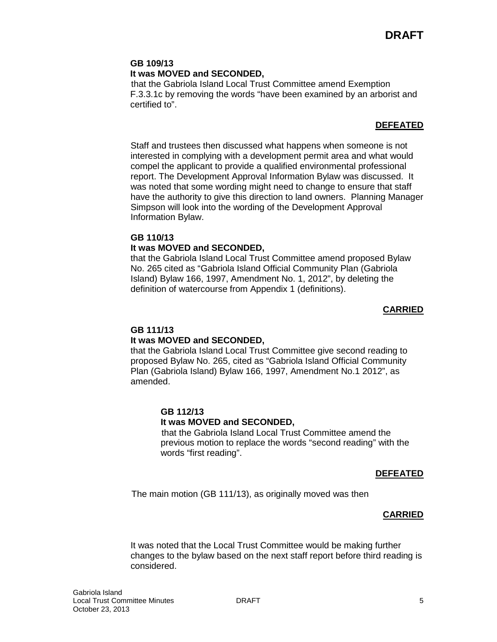## **GB 109/13**

### **It was MOVED and SECONDED,**

that the Gabriola Island Local Trust Committee amend Exemption F.3.3.1c by removing the words "have been examined by an arborist and certified to".

### **DEFEATED**

Staff and trustees then discussed what happens when someone is not interested in complying with a development permit area and what would compel the applicant to provide a qualified environmental professional report. The Development Approval Information Bylaw was discussed. It was noted that some wording might need to change to ensure that staff have the authority to give this direction to land owners. Planning Manager Simpson will look into the wording of the Development Approval Information Bylaw.

#### **GB 110/13**

#### **It was MOVED and SECONDED,**

that the Gabriola Island Local Trust Committee amend proposed Bylaw No. 265 cited as "Gabriola Island Official Community Plan (Gabriola Island) Bylaw 166, 1997, Amendment No. 1, 2012", by deleting the definition of watercourse from Appendix 1 (definitions).

#### **CARRIED**

### **GB 111/13**

#### **It was MOVED and SECONDED,**

that the Gabriola Island Local Trust Committee give second reading to proposed Bylaw No. 265, cited as "Gabriola Island Official Community Plan (Gabriola Island) Bylaw 166, 1997, Amendment No.1 2012", as amended.

### **GB 112/13**

#### **It was MOVED and SECONDED,**

that the Gabriola Island Local Trust Committee amend the previous motion to replace the words "second reading" with the words "first reading".

#### **DEFEATED**

The main motion (GB 111/13), as originally moved was then

### **CARRIED**

It was noted that the Local Trust Committee would be making further changes to the bylaw based on the next staff report before third reading is considered.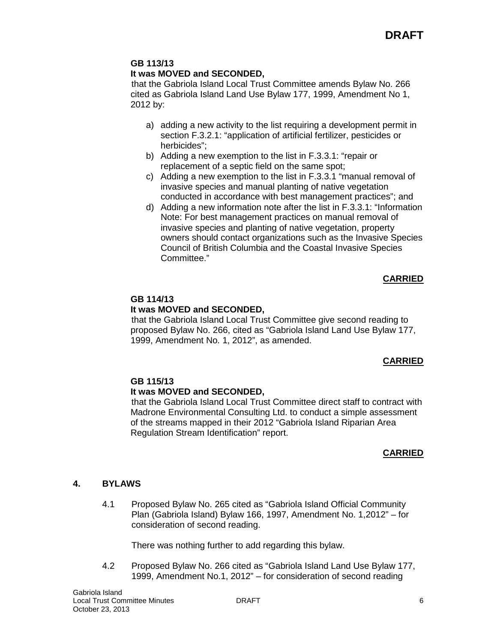#### **GB 113/13 It was MOVED and SECONDED,**

that the Gabriola Island Local Trust Committee amends Bylaw No. 266 cited as Gabriola Island Land Use Bylaw 177, 1999, Amendment No 1, 2012 by:

- a) adding a new activity to the list requiring a development permit in section F.3.2.1: "application of artificial fertilizer, pesticides or herbicides";
- b) Adding a new exemption to the list in F.3.3.1: "repair or replacement of a septic field on the same spot;
- c) Adding a new exemption to the list in F.3.3.1 "manual removal of invasive species and manual planting of native vegetation conducted in accordance with best management practices"; and
- d) Adding a new information note after the list in F.3.3.1: "Information Note: For best management practices on manual removal of invasive species and planting of native vegetation, property owners should contact organizations such as the Invasive Species Council of British Columbia and the Coastal Invasive Species Committee."

## **CARRIED**

## **GB 114/13**

## **It was MOVED and SECONDED,**

that the Gabriola Island Local Trust Committee give second reading to proposed Bylaw No. 266, cited as "Gabriola Island Land Use Bylaw 177, 1999, Amendment No. 1, 2012", as amended.

## **CARRIED**

### **GB 115/13**

## **It was MOVED and SECONDED,**

that the Gabriola Island Local Trust Committee direct staff to contract with Madrone Environmental Consulting Ltd. to conduct a simple assessment of the streams mapped in their 2012 "Gabriola Island Riparian Area Regulation Stream Identification" report.

## **CARRIED**

## **4. BYLAWS**

4.1 Proposed Bylaw No. 265 cited as "Gabriola Island Official Community Plan (Gabriola Island) Bylaw 166, 1997, Amendment No. 1,2012" – for consideration of second reading.

There was nothing further to add regarding this bylaw.

4.2 Proposed Bylaw No. 266 cited as "Gabriola Island Land Use Bylaw 177, 1999, Amendment No.1, 2012" – for consideration of second reading